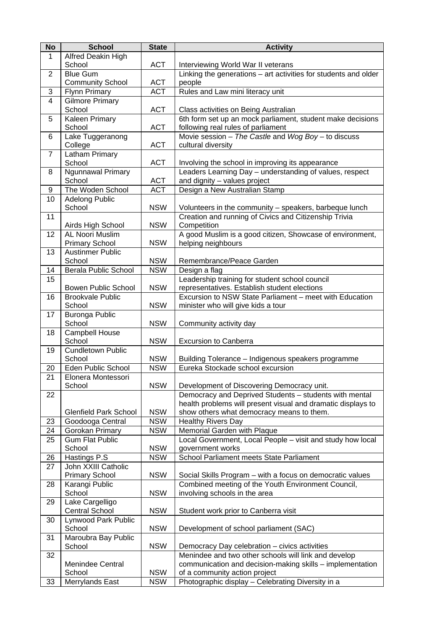| <b>No</b>      | <b>School</b>                | <b>State</b> | <b>Activity</b>                                                 |
|----------------|------------------------------|--------------|-----------------------------------------------------------------|
| 1              | Alfred Deakin High           |              |                                                                 |
|                | School                       | <b>ACT</b>   | Interviewing World War II veterans                              |
| $\overline{2}$ | <b>Blue Gum</b>              |              | Linking the generations - art activities for students and older |
|                | <b>Community School</b>      | <b>ACT</b>   | people                                                          |
| 3              | <b>Flynn Primary</b>         | <b>ACT</b>   | Rules and Law mini literacy unit                                |
| $\overline{4}$ | <b>Gilmore Primary</b>       |              |                                                                 |
|                | School                       | <b>ACT</b>   | Class activities on Being Australian                            |
| 5              | Kaleen Primary               |              | 6th form set up an mock parliament, student make decisions      |
|                | School                       | <b>ACT</b>   | following real rules of parliament                              |
| 6              | Lake Tuggeranong             |              | Movie session - The Castle and Wog Boy - to discuss             |
|                | College                      | <b>ACT</b>   | cultural diversity                                              |
| $\overline{7}$ | Latham Primary               |              |                                                                 |
|                | School                       | <b>ACT</b>   | Involving the school in improving its appearance                |
| 8              | <b>Ngunnawal Primary</b>     |              | Leaders Learning Day - understanding of values, respect         |
|                | School                       | <b>ACT</b>   | and dignity - values project                                    |
| 9              | The Woden School             | <b>ACT</b>   | Design a New Australian Stamp                                   |
| 10             | <b>Adelong Public</b>        |              |                                                                 |
|                | School                       | <b>NSW</b>   | Volunteers in the community - speakers, barbeque lunch          |
| 11             |                              |              | Creation and running of Civics and Citizenship Trivia           |
|                | Airds High School            | <b>NSW</b>   | Competition                                                     |
| 12             | <b>AL Noori Muslim</b>       |              | A good Muslim is a good citizen, Showcase of environment,       |
|                | <b>Primary School</b>        | <b>NSW</b>   | helping neighbours                                              |
| 13             | <b>Austinmer Public</b>      |              |                                                                 |
|                | School                       | <b>NSW</b>   | Remembrance/Peace Garden                                        |
|                |                              |              |                                                                 |
| 14             | <b>Berala Public School</b>  | <b>NSW</b>   | Design a flag                                                   |
| 15             |                              |              | Leadership training for student school council                  |
|                | <b>Bowen Public School</b>   | <b>NSW</b>   | representatives. Establish student elections                    |
| 16             | <b>Brookvale Public</b>      |              | Excursion to NSW State Parliament - meet with Education         |
|                | School                       | <b>NSW</b>   | minister who will give kids a tour                              |
| 17             | <b>Buronga Public</b>        |              |                                                                 |
|                | School                       | <b>NSW</b>   | Community activity day                                          |
| 18             | Campbell House               |              |                                                                 |
|                | School                       | <b>NSW</b>   | <b>Excursion to Canberra</b>                                    |
| 19             | <b>Cundletown Public</b>     |              |                                                                 |
|                | School                       | <b>NSW</b>   | Building Tolerance - Indigenous speakers programme              |
| 20             | Eden Public School           | <b>NSW</b>   | Eureka Stockade school excursion                                |
| 21             | Elonera Montessori           |              |                                                                 |
|                | School                       | <b>NSW</b>   | Development of Discovering Democracy unit.                      |
| 22             |                              |              | Democracy and Deprived Students - students with mental          |
|                |                              |              | health problems will present visual and dramatic displays to    |
|                | <b>Glenfield Park School</b> | <b>NSW</b>   | show others what democracy means to them.                       |
| 23             | Goodooga Central             | <b>NSW</b>   | <b>Healthy Rivers Day</b>                                       |
| 24             | Gorokan Primary              | <b>NSW</b>   | Memorial Garden with Plaque                                     |
| 25             | <b>Gum Flat Public</b>       |              | Local Government, Local People - visit and study how local      |
|                | School                       | <b>NSW</b>   | government works                                                |
| 26             | Hastings P.S                 | <b>NSW</b>   | School Parliament meets State Parliament                        |
| 27             | John XXIII Catholic          |              |                                                                 |
|                | <b>Primary School</b>        | <b>NSW</b>   | Social Skills Program - with a focus on democratic values       |
| 28             | Karangi Public               |              | Combined meeting of the Youth Environment Council,              |
|                | School                       | <b>NSW</b>   | involving schools in the area                                   |
| 29             | Lake Cargelligo              |              |                                                                 |
|                | <b>Central School</b>        | <b>NSW</b>   | Student work prior to Canberra visit                            |
| 30             | Lynwood Park Public          |              |                                                                 |
|                | School                       | <b>NSW</b>   | Development of school parliament (SAC)                          |
| 31             | Maroubra Bay Public          |              |                                                                 |
|                | School                       | <b>NSW</b>   | Democracy Day celebration - civics activities                   |
| 32             |                              |              | Menindee and two other schools will link and develop            |
|                | Menindee Central             |              | communication and decision-making skills - implementation       |
|                | School                       | <b>NSW</b>   | of a community action project                                   |
| 33             | Merrylands East              | <b>NSW</b>   | Photographic display - Celebrating Diversity in a               |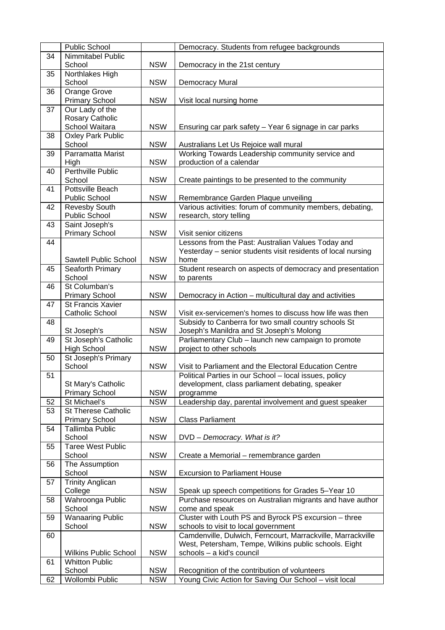|    | Public School                |            | Democracy. Students from refugee backgrounds                 |
|----|------------------------------|------------|--------------------------------------------------------------|
| 34 | Nimmitabel Public            |            |                                                              |
|    | School                       | <b>NSW</b> | Democracy in the 21st century                                |
| 35 | Northlakes High              |            |                                                              |
|    | School                       | <b>NSW</b> | Democracy Mural                                              |
| 36 | Orange Grove                 |            |                                                              |
|    | <b>Primary School</b>        | <b>NSW</b> | Visit local nursing home                                     |
| 37 | Our Lady of the              |            |                                                              |
|    | Rosary Catholic              |            |                                                              |
|    | School Waitara               | <b>NSW</b> | Ensuring car park safety - Year 6 signage in car parks       |
| 38 | <b>Oxley Park Public</b>     |            |                                                              |
|    | School                       | <b>NSW</b> | Australians Let Us Rejoice wall mural                        |
| 39 | Parramatta Marist            |            | Working Towards Leadership community service and             |
|    | High                         | <b>NSW</b> | production of a calendar                                     |
| 40 | <b>Perthville Public</b>     |            |                                                              |
|    | School                       | <b>NSW</b> | Create paintings to be presented to the community            |
| 41 | Pottsville Beach             |            |                                                              |
|    | <b>Public School</b>         | <b>NSW</b> | Remembrance Garden Plaque unveiling                          |
| 42 | Revesby South                |            | Various activities: forum of community members, debating,    |
|    | Public School                | <b>NSW</b> | research, story telling                                      |
| 43 | Saint Joseph's               |            |                                                              |
|    | <b>Primary School</b>        | <b>NSW</b> | Visit senior citizens                                        |
| 44 |                              |            | Lessons from the Past: Australian Values Today and           |
|    |                              |            | Yesterday - senior students visit residents of local nursing |
|    | Sawtell Public School        | <b>NSW</b> | home                                                         |
| 45 | Seaforth Primary             |            | Student research on aspects of democracy and presentation    |
|    | School                       | <b>NSW</b> | to parents                                                   |
| 46 | St Columban's                |            |                                                              |
|    | <b>Primary School</b>        | <b>NSW</b> | Democracy in Action - multicultural day and activities       |
| 47 | St Francis Xavier            |            |                                                              |
|    | Catholic School              | <b>NSW</b> | Visit ex-servicemen's homes to discuss how life was then     |
| 48 |                              |            | Subsidy to Canberra for two small country schools St         |
|    | St Joseph's                  | <b>NSW</b> | Joseph's Manildra and St Joseph's Molong                     |
| 49 | St Joseph's Catholic         |            | Parliamentary Club - launch new campaign to promote          |
|    | High School                  | <b>NSW</b> | project to other schools                                     |
| 50 | St Joseph's Primary          |            |                                                              |
|    | School                       | <b>NSW</b> | Visit to Parliament and the Electoral Education Centre       |
| 51 |                              |            | Political Parties in our School - local issues, policy       |
|    | St Mary's Catholic           |            | development, class parliament debating, speaker              |
|    | <b>Primary School</b>        | <b>NSW</b> | programme                                                    |
| 52 | St Michael's                 | <b>NSW</b> | Leadership day, parental involvement and guest speaker       |
| 53 | <b>St Therese Catholic</b>   |            |                                                              |
|    | <b>Primary School</b>        | <b>NSW</b> | <b>Class Parliament</b>                                      |
| 54 | Tallimba Public              |            |                                                              |
|    | School                       | <b>NSW</b> | DVD - Democracy. What is it?                                 |
| 55 | <b>Taree West Public</b>     |            |                                                              |
|    | School                       | <b>NSW</b> | Create a Memorial - remembrance garden                       |
| 56 | The Assumption               |            |                                                              |
|    | School                       | <b>NSW</b> | <b>Excursion to Parliament House</b>                         |
| 57 | <b>Trinity Anglican</b>      |            |                                                              |
|    | College                      | <b>NSW</b> | Speak up speech competitions for Grades 5-Year 10            |
| 58 | Wahroonga Public             |            | Purchase resources on Australian migrants and have author    |
|    | School                       | <b>NSW</b> | come and speak                                               |
| 59 | <b>Wanaaring Public</b>      |            | Cluster with Louth PS and Byrock PS excursion - three        |
|    | School                       | <b>NSW</b> | schools to visit to local government                         |
| 60 |                              |            | Camdenville, Dulwich, Ferncourt, Marrackville, Marrackville  |
|    |                              |            | West, Petersham, Tempe, Wilkins public schools. Eight        |
|    | <b>Wilkins Public School</b> | <b>NSW</b> | schools - a kid's council                                    |
| 61 | <b>Whitton Public</b>        |            |                                                              |
|    | School                       | <b>NSW</b> | Recognition of the contribution of volunteers                |
| 62 | Wollombi Public              | <b>NSW</b> | Young Civic Action for Saving Our School - visit local       |
|    |                              |            |                                                              |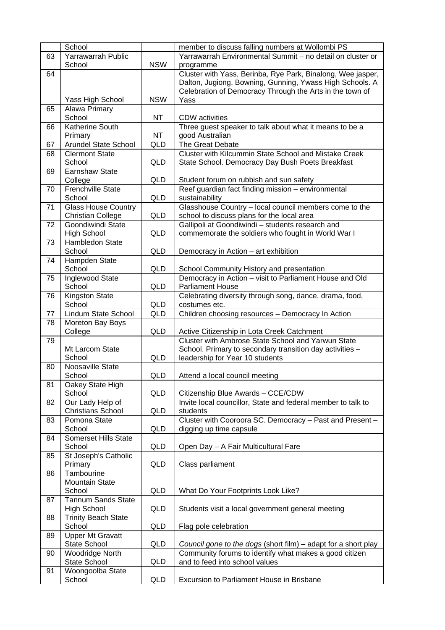|          | School                                  |                  | member to discuss falling numbers at Wollombi PS               |
|----------|-----------------------------------------|------------------|----------------------------------------------------------------|
| 63       | Yarrawarrah Public                      |                  | Yarrawarrah Environmental Summit - no detail on cluster or     |
|          | School                                  | <b>NSW</b>       | programme                                                      |
| 64       |                                         |                  | Cluster with Yass, Berinba, Rye Park, Binalong, Wee jasper,    |
|          |                                         |                  | Dalton, Jugiong, Bowning, Gunning, Ywass High Schools. A       |
|          |                                         |                  | Celebration of Democracy Through the Arts in the town of       |
|          | Yass High School                        | <b>NSW</b>       | Yass                                                           |
| 65       | Alawa Primary                           |                  |                                                                |
|          | School<br><b>Katherine South</b>        | <b>NT</b>        | <b>CDW</b> activities                                          |
| 66       |                                         |                  | Three guest speaker to talk about what it means to be a        |
|          | Primary<br><b>Arundel State School</b>  | <b>NT</b><br>QLD | good Australian<br>The Great Debate                            |
| 67<br>68 | <b>Clermont State</b>                   |                  | Cluster with Kilcummin State School and Mistake Creek          |
|          | School                                  | QLD              | State School. Democracy Day Bush Poets Breakfast               |
| 69       | <b>Earnshaw State</b>                   |                  |                                                                |
|          | College                                 | QLD              | Student forum on rubbish and sun safety                        |
| 70       | Frenchville State                       |                  | Reef guardian fact finding mission - environmental             |
|          | School                                  | QLD              | sustainability                                                 |
| 71       | <b>Glass House Country</b>              |                  | Glasshouse Country - local council members come to the         |
|          | <b>Christian College</b>                | QLD              | school to discuss plans for the local area                     |
| 72       | Goondiwindi State                       |                  | Gallipoli at Goondiwindi - students research and               |
|          | <b>High School</b>                      | <b>QLD</b>       | commemorate the soldiers who fought in World War I             |
| 73       | Hambledon State                         |                  |                                                                |
|          | School                                  | <b>QLD</b>       | Democracy in Action - art exhibition                           |
| 74       | Hampden State                           |                  |                                                                |
|          | School                                  | <b>QLD</b>       | School Community History and presentation                      |
| 75       | Inglewood State                         |                  | Democracy in Action - visit to Parliament House and Old        |
|          | School                                  | QLD              | <b>Parliament House</b>                                        |
| 76       | <b>Kingston State</b>                   |                  | Celebrating diversity through song, dance, drama, food,        |
|          | School                                  | <b>QLD</b>       | costumes etc.                                                  |
| 77<br>78 | Lindum State School<br>Moreton Bay Boys | QLD              | Children choosing resources - Democracy In Action              |
|          | College                                 | QLD              | Active Citizenship in Lota Creek Catchment                     |
| 79       |                                         |                  | Cluster with Ambrose State School and Yarwun State             |
|          | Mt Larcom State                         |                  | School. Primary to secondary transition day activities -       |
|          | School                                  | QLD              | leadership for Year 10 students                                |
| 80       | Noosaville State                        |                  |                                                                |
|          | School                                  | QLD              | Attend a local council meeting                                 |
| 81       | Oakey State High                        |                  |                                                                |
|          | School                                  | QLD              | Citizenship Blue Awards - CCE/CDW                              |
| 82       | Our Lady Help of                        |                  | Invite local councillor, State and federal member to talk to   |
|          | <b>Christians School</b>                | QLD              | students                                                       |
| 83       | Pomona State                            |                  | Cluster with Cooroora SC. Democracy - Past and Present -       |
|          | School<br><b>Somerset Hills State</b>   | QLD              | digging up time capsule                                        |
| 84       | School                                  | QLD              | Open Day - A Fair Multicultural Fare                           |
| 85       | St Joseph's Catholic                    |                  |                                                                |
|          | Primary                                 | QLD              | Class parliament                                               |
| 86       | Tambourine                              |                  |                                                                |
|          | <b>Mountain State</b>                   |                  |                                                                |
|          | School                                  | QLD              | What Do Your Footprints Look Like?                             |
| 87       | <b>Tannum Sands State</b>               |                  |                                                                |
|          | <b>High School</b>                      | QLD              | Students visit a local government general meeting              |
| 88       | <b>Trinity Beach State</b>              |                  |                                                                |
|          | School                                  | <b>QLD</b>       | Flag pole celebration                                          |
| 89       | <b>Upper Mt Gravatt</b>                 |                  |                                                                |
|          | <b>State School</b>                     | QLD              | Council gone to the dogs (short film) – adapt for a short play |
| 90       | Woodridge North                         |                  | Community forums to identify what makes a good citizen         |
|          | State School                            | QLD              | and to feed into school values                                 |
| 91       | Woongoolba State                        |                  |                                                                |
|          | School                                  | QLD              | Excursion to Parliament House in Brisbane                      |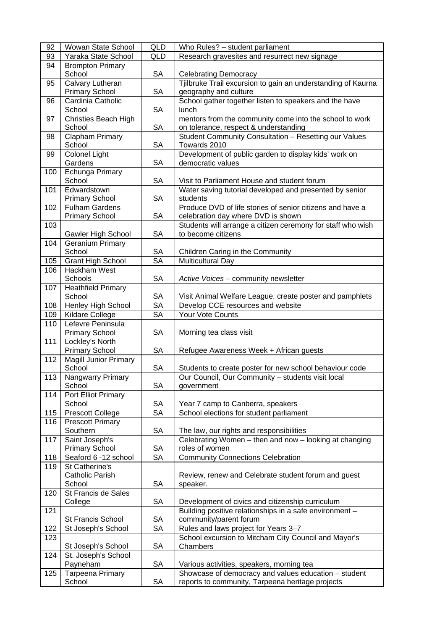| 92  | <b>Wowan State School</b>                     | QLD                          | Who Rules? - student parliament                                                                   |
|-----|-----------------------------------------------|------------------------------|---------------------------------------------------------------------------------------------------|
| 93  | Yaraka State School                           | QLD                          | Research gravesites and resurrect new signage                                                     |
| 94  | <b>Brompton Primary</b>                       |                              |                                                                                                   |
|     | School                                        | <b>SA</b>                    | <b>Celebrating Democracy</b>                                                                      |
| 95  | Calvary Lutheran                              |                              | Tjilbruke Trail excursion to gain an understanding of Kaurna                                      |
|     | <b>Primary School</b>                         | <b>SA</b>                    | geography and culture                                                                             |
| 96  | Cardinia Catholic                             |                              | School gather together listen to speakers and the have                                            |
|     | School                                        | <b>SA</b>                    | lunch                                                                                             |
| 97  | <b>Christies Beach High</b>                   |                              | mentors from the community come into the school to work                                           |
|     | School                                        | <b>SA</b>                    | on tolerance, respect & understanding                                                             |
| 98  | Clapham Primary                               |                              | Student Community Consultation - Resetting our Values                                             |
|     | School                                        | <b>SA</b>                    | Towards 2010                                                                                      |
| 99  | <b>Colonel Light</b>                          |                              | Development of public garden to display kids' work on                                             |
|     | Gardens                                       | <b>SA</b>                    | democratic values                                                                                 |
| 100 | Echunga Primary                               |                              |                                                                                                   |
|     | School                                        | <b>SA</b>                    | Visit to Parliament House and student forum                                                       |
| 101 | Edwardstown                                   |                              | Water saving tutorial developed and presented by senior                                           |
|     | <b>Primary School</b>                         | <b>SA</b>                    | students                                                                                          |
| 102 | <b>Fulham Gardens</b>                         |                              | Produce DVD of life stories of senior citizens and have a                                         |
|     | <b>Primary School</b>                         | SA                           | celebration day where DVD is shown                                                                |
| 103 |                                               | <b>SA</b>                    | Students will arrange a citizen ceremony for staff who wish<br>to become citizens                 |
| 104 | Gawler High School<br><b>Geranium Primary</b> |                              |                                                                                                   |
|     | School                                        | <b>SA</b>                    | Children Caring in the Community                                                                  |
| 105 | <b>Grant High School</b>                      | <b>SA</b>                    | <b>Multicultural Day</b>                                                                          |
| 106 | Hackham West                                  |                              |                                                                                                   |
|     | Schools                                       | <b>SA</b>                    | Active Voices - community newsletter                                                              |
| 107 | <b>Heathfield Primary</b>                     |                              |                                                                                                   |
|     | School                                        | <b>SA</b>                    | Visit Animal Welfare League, create poster and pamphlets                                          |
| 108 | Henley High School                            | $\overline{\text{SA}}$       | Develop CCE resources and website                                                                 |
| 109 | Kildare College                               | <b>SA</b>                    | Your Vote Counts                                                                                  |
| 110 | Lefevre Peninsula                             |                              |                                                                                                   |
|     | <b>Primary School</b>                         | <b>SA</b>                    | Morning tea class visit                                                                           |
| 111 | Lockley's North                               |                              |                                                                                                   |
|     | <b>Primary School</b>                         | <b>SA</b>                    | Refugee Awareness Week + African guests                                                           |
| 112 | <b>Magill Junior Primary</b>                  |                              |                                                                                                   |
|     | School                                        | <b>SA</b>                    | Students to create poster for new school behaviour code                                           |
| 113 | Nangwarry Primary                             |                              | Our Council, Our Community - students visit local                                                 |
|     | School                                        | <b>SA</b>                    | government                                                                                        |
| 114 | Port Elliot Primary                           |                              |                                                                                                   |
|     | School                                        | SA<br>$\overline{\text{SA}}$ | Year 7 camp to Canberra, speakers<br>School elections for student parliament                      |
| 115 | Prescott College                              |                              |                                                                                                   |
| 116 | <b>Prescott Primary</b><br>Southern           | <b>SA</b>                    | The law, our rights and responsibilities                                                          |
| 117 | Saint Joseph's                                |                              | Celebrating Women - then and now - looking at changing                                            |
|     | <b>Primary School</b>                         | <b>SA</b>                    | roles of women                                                                                    |
| 118 | Seaford 6 -12 school                          | $\overline{\text{SA}}$       | <b>Community Connections Celebration</b>                                                          |
| 119 | St Catherine's                                |                              |                                                                                                   |
|     | Catholic Parish                               |                              | Review, renew and Celebrate student forum and guest                                               |
|     | School                                        | <b>SA</b>                    | speaker.                                                                                          |
| 120 | St Francis de Sales                           |                              |                                                                                                   |
|     | College                                       | <b>SA</b>                    | Development of civics and citizenship curriculum                                                  |
| 121 |                                               |                              | Building positive relationships in a safe environment -                                           |
|     | St Francis School                             | SA                           | community/parent forum                                                                            |
| 122 | St Joseph's School                            | SA                           | Rules and laws project for Years 3-7                                                              |
| 123 |                                               |                              | School excursion to Mitcham City Council and Mayor's                                              |
|     | St Joseph's School                            | <b>SA</b>                    | Chambers                                                                                          |
| 124 | St. Joseph's School<br>Payneham               | SA                           |                                                                                                   |
| 125 | Tarpeena Primary                              |                              | Various activities, speakers, morning tea<br>Showcase of democracy and values education - student |
|     | School                                        | SA                           | reports to community, Tarpeena heritage projects                                                  |
|     |                                               |                              |                                                                                                   |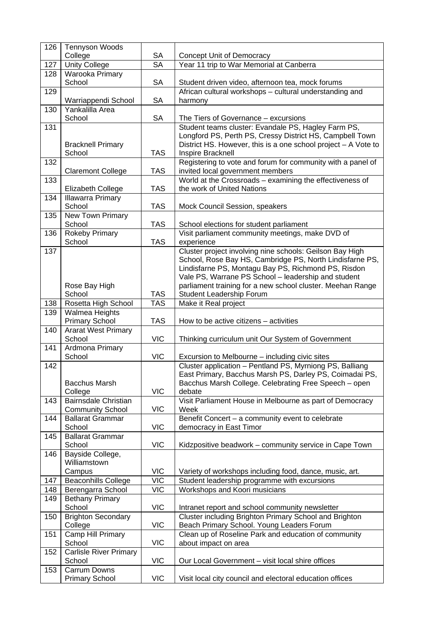| 126 | <b>Tennyson Woods</b>                                  |                              |                                                                                                                            |
|-----|--------------------------------------------------------|------------------------------|----------------------------------------------------------------------------------------------------------------------------|
|     | College                                                | SA<br>$\overline{\text{SA}}$ | Concept Unit of Democracy                                                                                                  |
| 127 | <b>Unity College</b>                                   |                              | Year 11 trip to War Memorial at Canberra                                                                                   |
| 128 | Warooka Primary<br>School                              | SA                           | Student driven video, afternoon tea, mock forums                                                                           |
| 129 |                                                        |                              | African cultural workshops - cultural understanding and                                                                    |
|     | Warriappendi School                                    | <b>SA</b>                    | harmony                                                                                                                    |
| 130 | Yankalilla Area                                        |                              |                                                                                                                            |
|     | School                                                 | <b>SA</b>                    | The Tiers of Governance - excursions                                                                                       |
| 131 |                                                        |                              | Student teams cluster: Evandale PS, Hagley Farm PS,                                                                        |
|     | <b>Bracknell Primary</b>                               |                              | Longford PS, Perth PS, Cressy District HS, Campbell Town<br>District HS. However, this is a one school project - A Vote to |
|     | School                                                 | <b>TAS</b>                   | Inspire Bracknell                                                                                                          |
| 132 | <b>Claremont College</b>                               | <b>TAS</b>                   | Registering to vote and forum for community with a panel of<br>invited local government members                            |
| 133 |                                                        |                              | World at the Crossroads - examining the effectiveness of                                                                   |
|     | Elizabeth College                                      | <b>TAS</b>                   | the work of United Nations                                                                                                 |
| 134 | <b>Illawarra Primary</b><br>School                     | <b>TAS</b>                   | Mock Council Session, speakers                                                                                             |
| 135 | New Town Primary                                       |                              |                                                                                                                            |
|     | School                                                 | <b>TAS</b>                   | School elections for student parliament                                                                                    |
| 136 | Rokeby Primary                                         |                              | Visit parliament community meetings, make DVD of                                                                           |
|     | School                                                 | <b>TAS</b>                   | experience                                                                                                                 |
| 137 |                                                        |                              | Cluster project involving nine schools: Geilson Bay High                                                                   |
|     |                                                        |                              | School, Rose Bay HS, Cambridge PS, North Lindisfarne PS,<br>Lindisfarne PS, Montagu Bay PS, Richmond PS, Risdon            |
|     |                                                        |                              | Vale PS, Warrane PS School - leadership and student                                                                        |
|     | Rose Bay High                                          |                              | parliament training for a new school cluster. Meehan Range                                                                 |
|     | School                                                 | <b>TAS</b>                   | Student Leadership Forum                                                                                                   |
| 138 | Rosetta High School                                    | <b>TAS</b>                   | Make it Real project                                                                                                       |
| 139 | Walmea Heights                                         |                              |                                                                                                                            |
|     | <b>Primary School</b>                                  | <b>TAS</b>                   | How to be active citizens $-$ activities                                                                                   |
| 140 | <b>Ararat West Primary</b>                             |                              |                                                                                                                            |
| 141 | School<br>Ardmona Primary                              | <b>VIC</b>                   | Thinking curriculum unit Our System of Government                                                                          |
|     | School                                                 | <b>VIC</b>                   | Excursion to Melbourne - including civic sites                                                                             |
| 142 |                                                        |                              | Cluster application - Pentland PS, Myrniong PS, Balliang                                                                   |
|     |                                                        |                              | East Primary, Bacchus Marsh PS, Darley PS, Coimadai PS,                                                                    |
|     | <b>Bacchus Marsh</b>                                   |                              | Bacchus Marsh College. Celebrating Free Speech - open                                                                      |
|     | College                                                | <b>VIC</b>                   | debate                                                                                                                     |
| 143 | <b>Bairnsdale Christian</b><br><b>Community School</b> | <b>VIC</b>                   | Visit Parliament House in Melbourne as part of Democracy<br>Week                                                           |
| 144 | <b>Ballarat Grammar</b>                                |                              | Benefit Concert - a community event to celebrate                                                                           |
|     | School                                                 | <b>VIC</b>                   | democracy in East Timor                                                                                                    |
| 145 | <b>Ballarat Grammar</b><br>School                      | <b>VIC</b>                   | Kidzpositive beadwork - community service in Cape Town                                                                     |
| 146 | Bayside College,                                       |                              |                                                                                                                            |
|     | Williamstown                                           |                              |                                                                                                                            |
|     | Campus                                                 | <b>VIC</b>                   | Variety of workshops including food, dance, music, art.                                                                    |
| 147 | <b>Beaconhills College</b>                             | $\overline{\text{VIC}}$      | Student leadership programme with excursions                                                                               |
| 148 | Berengarra School                                      | <b>VIC</b>                   | Workshops and Koori musicians                                                                                              |
| 149 | <b>Bethany Primary</b><br>School                       | <b>VIC</b>                   | Intranet report and school community newsletter                                                                            |
| 150 | <b>Brighton Secondary</b>                              |                              | Cluster including Brighton Primary School and Brighton                                                                     |
|     | College                                                | <b>VIC</b>                   | Beach Primary School. Young Leaders Forum                                                                                  |
| 151 | Camp Hill Primary                                      |                              | Clean up of Roseline Park and education of community                                                                       |
|     | School                                                 | <b>VIC</b>                   | about impact on area                                                                                                       |
| 152 | <b>Carlisle River Primary</b><br>School                | <b>VIC</b>                   | Our Local Government - visit local shire offices                                                                           |
| 153 | Carrum Downs                                           |                              |                                                                                                                            |
|     | <b>Primary School</b>                                  | <b>VIC</b>                   | Visit local city council and electoral education offices                                                                   |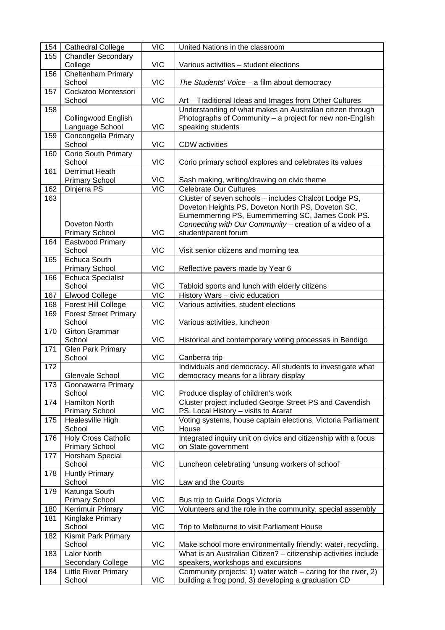| 154 | <b>Cathedral College</b>               | <b>VIC</b>       | United Nations in the classroom                                 |
|-----|----------------------------------------|------------------|-----------------------------------------------------------------|
| 155 | <b>Chandler Secondary</b>              |                  |                                                                 |
|     | College                                | <b>VIC</b>       | Various activities - student elections                          |
| 156 | Cheltenham Primary                     |                  |                                                                 |
|     | School                                 | <b>VIC</b>       | The Students' Voice - a film about democracy                    |
| 157 | Cockatoo Montessori                    |                  |                                                                 |
|     | School                                 | <b>VIC</b>       | Art - Traditional Ideas and Images from Other Cultures          |
| 158 |                                        |                  | Understanding of what makes an Australian citizen through       |
|     | Collingwood English                    |                  | Photographs of Community - a project for new non-English        |
|     | Language School                        | <b>VIC</b>       | speaking students                                               |
| 159 | Concongella Primary                    |                  |                                                                 |
|     | School                                 | <b>VIC</b>       | <b>CDW</b> activities                                           |
| 160 | Corio South Primary                    |                  |                                                                 |
|     | School                                 | <b>VIC</b>       | Corio primary school explores and celebrates its values         |
| 161 | Derrimut Heath                         |                  |                                                                 |
|     | <b>Primary School</b>                  | <b>VIC</b>       | Sash making, writing/drawing on civic theme                     |
| 162 | Dinjerra PS                            | $\overline{V}$   | <b>Celebrate Our Cultures</b>                                   |
| 163 |                                        |                  | Cluster of seven schools - includes Chalcot Lodge PS,           |
|     |                                        |                  | Doveton Heights PS, Doveton North PS, Doveton SC,               |
|     |                                        |                  | Eumemmerring PS, Eumemmerring SC, James Cook PS.                |
|     | Doveton North                          |                  | Connecting with Our Community - creation of a video of a        |
|     | <b>Primary School</b>                  | <b>VIC</b>       | student/parent forum                                            |
| 164 | Eastwood Primary                       |                  |                                                                 |
|     | School                                 | <b>VIC</b>       | Visit senior citizens and morning tea                           |
| 165 | <b>Echuca South</b>                    |                  |                                                                 |
|     | <b>Primary School</b>                  | <b>VIC</b>       | Reflective pavers made by Year 6                                |
| 166 | <b>Echuca Specialist</b>               |                  |                                                                 |
|     | School                                 | <b>VIC</b>       | Tabloid sports and lunch with elderly citizens                  |
| 167 | <b>Elwood College</b>                  | <b>VIC</b>       | History Wars - civic education                                  |
| 168 | Forest Hill College                    | <b>VIC</b>       | Various activities, student elections                           |
|     |                                        |                  |                                                                 |
| 169 | <b>Forest Street Primary</b><br>School | <b>VIC</b>       |                                                                 |
|     |                                        |                  | Various activities, luncheon                                    |
| 170 | <b>Girton Grammar</b><br>School        | <b>VIC</b>       |                                                                 |
|     | <b>Glen Park Primary</b>               |                  | Historical and contemporary voting processes in Bendigo         |
| 171 | School                                 |                  |                                                                 |
|     |                                        | <b>VIC</b>       | Canberra trip                                                   |
| 172 |                                        |                  | Individuals and democracy. All students to investigate what     |
|     | Glenvale School                        | <b>VIC</b>       | democracy means for a library display                           |
| 173 | Goonawarra Primary                     |                  |                                                                 |
|     | School                                 | <b>VIC</b>       | Produce display of children's work                              |
| 174 | <b>Hamilton North</b>                  |                  | Cluster project included George Street PS and Cavendish         |
|     | <b>Primary School</b>                  | <b>VIC</b>       | PS. Local History - visits to Ararat                            |
| 175 | Healesville High                       |                  | Voting systems, house captain elections, Victoria Parliament    |
|     | School                                 | <b>VIC</b>       | House                                                           |
| 176 | <b>Holy Cross Catholic</b>             |                  | Integrated inquiry unit on civics and citizenship with a focus  |
|     | <b>Primary School</b>                  | <b>VIC</b>       | on State government                                             |
| 177 | Horsham Special                        |                  |                                                                 |
|     | School                                 | <b>VIC</b>       | Luncheon celebrating 'unsung workers of school'                 |
| 178 | <b>Huntly Primary</b>                  |                  |                                                                 |
|     | School                                 | <b>VIC</b>       | Law and the Courts                                              |
| 179 | Katunga South                          |                  |                                                                 |
|     | <b>Primary School</b>                  | <b>VIC</b>       | Bus trip to Guide Dogs Victoria                                 |
| 180 | Kerrimuir Primary                      | $\overline{VIC}$ | Volunteers and the role in the community, special assembly      |
| 181 | Kinglake Primary                       |                  |                                                                 |
|     | School                                 | <b>VIC</b>       | Trip to Melbourne to visit Parliament House                     |
| 182 | <b>Kismit Park Primary</b>             |                  |                                                                 |
|     | School                                 | <b>VIC</b>       | Make school more environmentally friendly: water, recycling.    |
| 183 | <b>Lalor North</b>                     |                  | What is an Australian Citizen? - citizenship activities include |
|     | Secondary College                      | <b>VIC</b>       | speakers, workshops and excursions                              |
| 184 | <b>Little River Primary</b>            |                  | Community projects: 1) water watch $-$ caring for the river, 2) |
|     | School                                 | <b>VIC</b>       | building a frog pond, 3) developing a graduation CD             |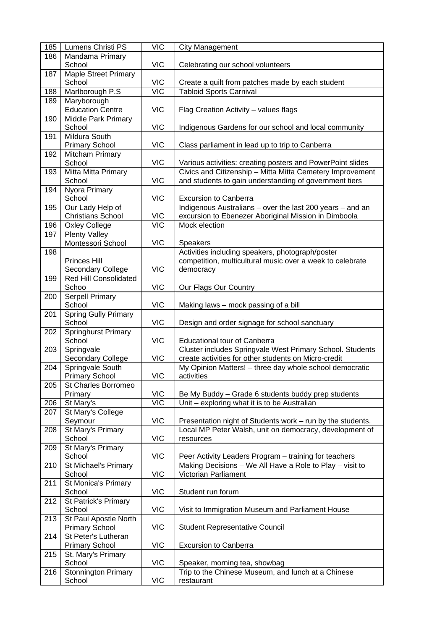| 185 | Lumens Christi PS            | <b>VIC</b>              | <b>City Management</b>                                     |
|-----|------------------------------|-------------------------|------------------------------------------------------------|
| 186 | Mandama Primary              |                         |                                                            |
|     | School                       | <b>VIC</b>              | Celebrating our school volunteers                          |
| 187 | <b>Maple Street Primary</b>  |                         |                                                            |
|     | School                       | <b>VIC</b>              | Create a quilt from patches made by each student           |
| 188 | Marlborough P.S              | $\overline{\text{VIC}}$ | <b>Tabloid Sports Carnival</b>                             |
| 189 | Maryborough                  |                         |                                                            |
|     | <b>Education Centre</b>      | <b>VIC</b>              | Flag Creation Activity - values flags                      |
| 190 | Middle Park Primary          |                         |                                                            |
|     | School                       | <b>VIC</b>              | Indigenous Gardens for our school and local community      |
| 191 | <b>Mildura South</b>         |                         |                                                            |
|     | <b>Primary School</b>        | <b>VIC</b>              | Class parliament in lead up to trip to Canberra            |
| 192 | Mitcham Primary              |                         |                                                            |
|     | School                       | <b>VIC</b>              | Various activities: creating posters and PowerPoint slides |
| 193 | Mitta Mitta Primary          |                         | Civics and Citizenship - Mitta Mitta Cemetery Improvement  |
|     | School                       | <b>VIC</b>              | and students to gain understanding of government tiers     |
| 194 | Nyora Primary                |                         |                                                            |
|     | School                       | <b>VIC</b>              | <b>Excursion to Canberra</b>                               |
| 195 | Our Lady Help of             |                         | Indigenous Australians - over the last 200 years - and an  |
|     | <b>Christians School</b>     | <b>VIC</b>              | excursion to Ebenezer Aboriginal Mission in Dimboola       |
| 196 | <b>Oxley College</b>         | <b>VIC</b>              | Mock election                                              |
| 197 | <b>Plenty Valley</b>         |                         |                                                            |
|     | Montessori School            | <b>VIC</b>              | <b>Speakers</b>                                            |
| 198 |                              |                         | Activities including speakers, photograph/poster           |
|     | <b>Princes Hill</b>          |                         | competition, multicultural music over a week to celebrate  |
|     | <b>Secondary College</b>     | <b>VIC</b>              | democracy                                                  |
| 199 | <b>Red Hill Consolidated</b> |                         |                                                            |
|     | Schoo                        | <b>VIC</b>              | Our Flags Our Country                                      |
| 200 | <b>Serpell Primary</b>       |                         |                                                            |
|     | School                       | <b>VIC</b>              | Making laws – mock passing of a bill                       |
| 201 | <b>Spring Gully Primary</b>  |                         |                                                            |
|     | School                       | <b>VIC</b>              | Design and order signage for school sanctuary              |
| 202 | <b>Springhurst Primary</b>   |                         |                                                            |
|     | School                       | <b>VIC</b>              | <b>Educational tour of Canberra</b>                        |
| 203 | Springvale                   |                         | Cluster includes Springvale West Primary School. Students  |
|     | Secondary College            | <b>VIC</b>              | create activities for other students on Micro-credit       |
| 204 | Springvale South             |                         | My Opinion Matters! - three day whole school democratic    |
|     | <b>Primary School</b>        | <b>VIC</b>              | activities                                                 |
| 205 | St Charles Borromeo          |                         |                                                            |
|     | Primary                      | <b>VIC</b>              | Be My Buddy - Grade 6 students buddy prep students         |
| 206 | St Mary's                    | <b>VIC</b>              | Unit - exploring what it is to be Australian               |
| 207 | St Mary's College            |                         |                                                            |
|     | Seymour                      | <b>VIC</b>              | Presentation night of Students work - run by the students. |
| 208 | St Mary's Primary            |                         | Local MP Peter Walsh, unit on democracy, development of    |
|     | School                       | <b>VIC</b>              | resources                                                  |
| 209 | St Mary's Primary            |                         |                                                            |
|     | School                       | <b>VIC</b>              | Peer Activity Leaders Program - training for teachers      |
| 210 | St Michael's Primary         |                         | Making Decisions - We All Have a Role to Play - visit to   |
|     | School                       | <b>VIC</b>              | Victorian Parliament                                       |
| 211 | St Monica's Primary          |                         |                                                            |
|     | School                       | <b>VIC</b>              | Student run forum                                          |
| 212 | St Patrick's Primary         |                         |                                                            |
|     | School                       | <b>VIC</b>              | Visit to Immigration Museum and Parliament House           |
| 213 | St Paul Apostle North        |                         |                                                            |
|     | <b>Primary School</b>        | <b>VIC</b>              | <b>Student Representative Council</b>                      |
| 214 | St Peter's Lutheran          |                         |                                                            |
|     | <b>Primary School</b>        | <b>VIC</b>              | <b>Excursion to Canberra</b>                               |
| 215 | St. Mary's Primary           |                         |                                                            |
|     | School                       | <b>VIC</b>              | Speaker, morning tea, showbag                              |
| 216 | <b>Stonnington Primary</b>   |                         | Trip to the Chinese Museum, and lunch at a Chinese         |
|     | School                       | <b>VIC</b>              | restaurant                                                 |
|     |                              |                         |                                                            |